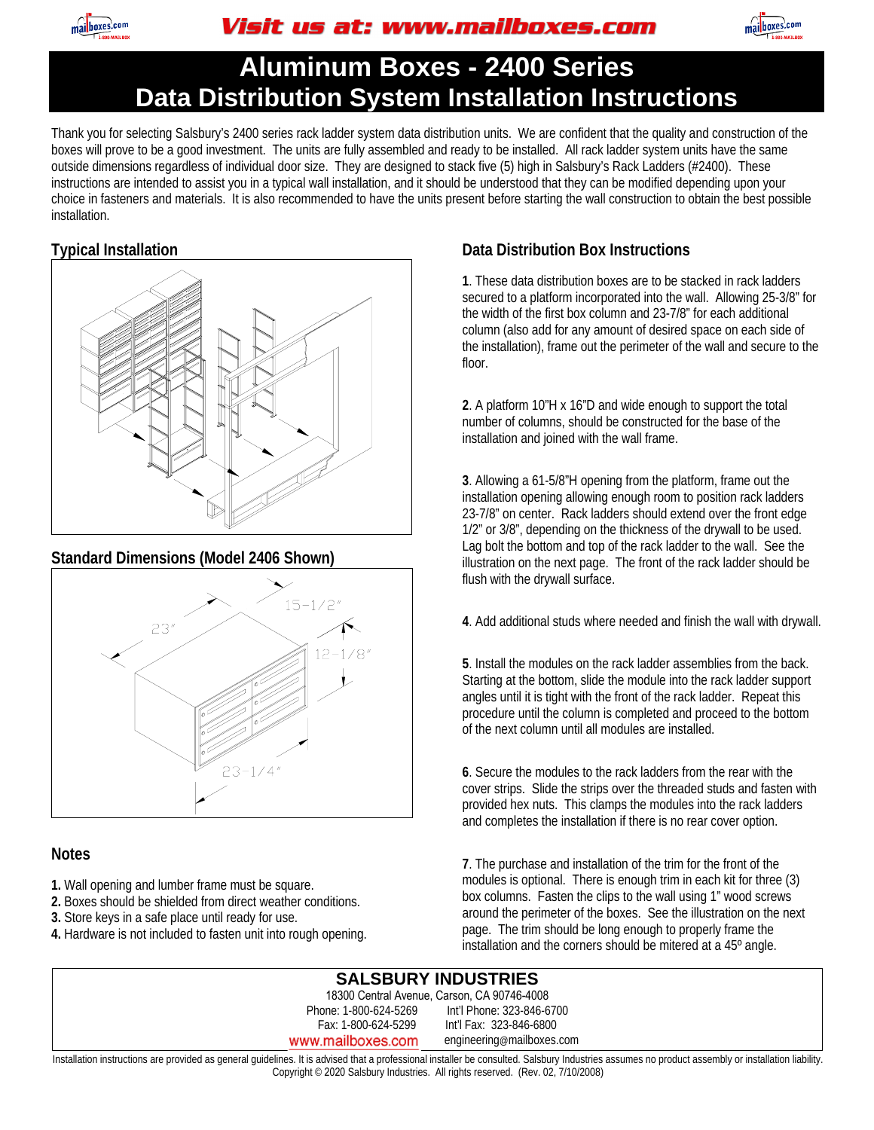

## Visit us at: www.mailboxes.com



# **Aluminum Boxes - 2400 Series Data Distribution System Installation Instructions**

Thank you for selecting Salsbury's 2400 series rack ladder system data distribution units. We are confident that the quality and construction of the boxes will prove to be a good investment. The units are fully assembled and ready to be installed. All rack ladder system units have the same outside dimensions regardless of individual door size. They are designed to stack five (5) high in Salsbury's Rack Ladders (#2400). These instructions are intended to assist you in a typical wall installation, and it should be understood that they can be modified depending upon your choice in fasteners and materials. It is also recommended to have the units present before starting the wall construction to obtain the best possible installation.

#### **Typical Installation**



#### **Standard Dimensions (Model 2406 Shown)**



#### **Notes**

- **1.** Wall opening and lumber frame must be square.
- **2.** Boxes should be shielded from direct weather conditions.
- **3.** Store keys in a safe place until ready for use.
- **4.** Hardware is not included to fasten unit into rough opening.

### **Data Distribution Box Instructions**

**1**. These data distribution boxes are to be stacked in rack ladders secured to a platform incorporated into the wall. Allowing 25-3/8" for the width of the first box column and 23-7/8" for each additional column (also add for any amount of desired space on each side of the installation), frame out the perimeter of the wall and secure to the floor.

**2**. A platform 10"H x 16"D and wide enough to support the total number of columns, should be constructed for the base of the installation and joined with the wall frame.

**3**. Allowing a 61-5/8"H opening from the platform, frame out the installation opening allowing enough room to position rack ladders 23-7/8" on center. Rack ladders should extend over the front edge 1/2" or 3/8", depending on the thickness of the drywall to be used. Lag bolt the bottom and top of the rack ladder to the wall. See the illustration on the next page. The front of the rack ladder should be flush with the drywall surface.

**4**. Add additional studs where needed and finish the wall with drywall.

**5**. Install the modules on the rack ladder assemblies from the back. Starting at the bottom, slide the module into the rack ladder support angles until it is tight with the front of the rack ladder. Repeat this procedure until the column is completed and proceed to the bottom of the next column until all modules are installed.

**6**. Secure the modules to the rack ladders from the rear with the cover strips. Slide the strips over the threaded studs and fasten with provided hex nuts. This clamps the modules into the rack ladders and completes the installation if there is no rear cover option.

**7**. The purchase and installation of the trim for the front of the modules is optional. There is enough trim in each kit for three (3) box columns. Fasten the clips to the wall using 1" wood screws around the perimeter of the boxes. See the illustration on the next page. The trim should be long enough to properly frame the installation and the corners should be mitered at a 45º angle.

| <b>SALSBURY INDUSTRIES</b>                                                                                                                                                                        |                           |
|---------------------------------------------------------------------------------------------------------------------------------------------------------------------------------------------------|---------------------------|
| 18300 Central Avenue, Carson, CA 90746-4008                                                                                                                                                       |                           |
| Phone: 1-800-624-5269                                                                                                                                                                             | Int'l Phone: 323-846-6700 |
| Fax: 1-800-624-5299                                                                                                                                                                               | Int'l Fax: 323-846-6800   |
| www.mailboxes.com                                                                                                                                                                                 | engineering@mailboxes.com |
| Installation instructions are provided as general quidelines. It is advised that a professional installer be consulted. Salsbury Industries assumes no product assembly or installation liability |                           |

Installation instructions are provided as general guidelines. It is advised that a professional installer be consulted. Salsbury Industries assumes no product assembly or installation liability. Copyright © 2020 Salsbury Industries. All rights reserved. (Rev. 02, 7/10/2008)